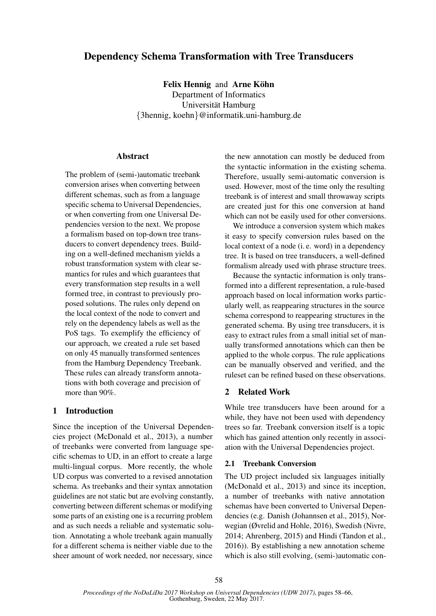# Dependency Schema Transformation with Tree Transducers

Felix Hennig and Arne Köhn Department of Informatics Universität Hamburg {3hennig, koehn}@informatik.uni-hamburg.de

### Abstract

The problem of (semi-)automatic treebank conversion arises when converting between different schemas, such as from a language specific schema to Universal Dependencies, or when converting from one Universal Dependencies version to the next. We propose a formalism based on top-down tree transducers to convert dependency trees. Building on a well-defined mechanism yields a robust transformation system with clear semantics for rules and which guarantees that every transformation step results in a well formed tree, in contrast to previously proposed solutions. The rules only depend on the local context of the node to convert and rely on the dependency labels as well as the PoS tags. To exemplify the efficiency of our approach, we created a rule set based on only 45 manually transformed sentences from the Hamburg Dependency Treebank. These rules can already transform annotations with both coverage and precision of more than 90%.

### 1 Introduction

Since the inception of the Universal Dependencies project (McDonald et al., 2013), a number of treebanks were converted from language specific schemas to UD, in an effort to create a large multi-lingual corpus. More recently, the whole UD corpus was converted to a revised annotation schema. As treebanks and their syntax annotation guidelines are not static but are evolving constantly, converting between different schemas or modifying some parts of an existing one is a recurring problem and as such needs a reliable and systematic solution. Annotating a whole treebank again manually for a different schema is neither viable due to the sheer amount of work needed, nor necessary, since

the new annotation can mostly be deduced from the syntactic information in the existing schema. Therefore, usually semi-automatic conversion is used. However, most of the time only the resulting treebank is of interest and small throwaway scripts are created just for this one conversion at hand which can not be easily used for other conversions.

We introduce a conversion system which makes it easy to specify conversion rules based on the local context of a node (i. e. word) in a dependency tree. It is based on tree transducers, a well-defined formalism already used with phrase structure trees.

Because the syntactic information is only transformed into a different representation, a rule-based approach based on local information works particularly well, as reappearing structures in the source schema correspond to reappearing structures in the generated schema. By using tree transducers, it is easy to extract rules from a small initial set of manually transformed annotations which can then be applied to the whole corpus. The rule applications can be manually observed and verified, and the ruleset can be refined based on these observations.

### 2 Related Work

While tree transducers have been around for a while, they have not been used with dependency trees so far. Treebank conversion itself is a topic which has gained attention only recently in association with the Universal Dependencies project.

### 2.1 Treebank Conversion

The UD project included six languages initially (McDonald et al., 2013) and since its inception, a number of treebanks with native annotation schemas have been converted to Universal Dependencies (e.g. Danish (Johannsen et al., 2015), Norwegian (Øvrelid and Hohle, 2016), Swedish (Nivre, 2014; Ahrenberg, 2015) and Hindi (Tandon et al., 2016)). By establishing a new annotation scheme which is also still evolving, (semi-)automatic con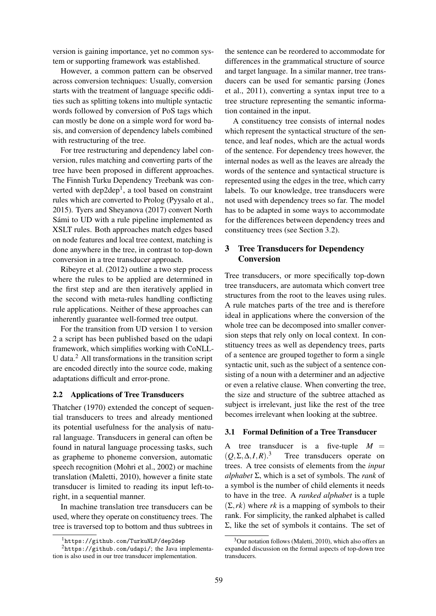version is gaining importance, yet no common system or supporting framework was established.

However, a common pattern can be observed across conversion techniques: Usually, conversion starts with the treatment of language specific oddities such as splitting tokens into multiple syntactic words followed by conversion of PoS tags which can mostly be done on a simple word for word basis, and conversion of dependency labels combined with restructuring of the tree.

For tree restructuring and dependency label conversion, rules matching and converting parts of the tree have been proposed in different approaches. The Finnish Turku Dependency Treebank was converted with  $dep2dep<sup>1</sup>$ , a tool based on constraint rules which are converted to Prolog (Pyysalo et al., 2015). Tyers and Sheyanova (2017) convert North Sámi to UD with a rule pipeline implemented as XSLT rules. Both approaches match edges based on node features and local tree context, matching is done anywhere in the tree, in contrast to top-down conversion in a tree transducer approach.

Ribeyre et al. (2012) outline a two step process where the rules to be applied are determined in the first step and are then iteratively applied in the second with meta-rules handling conflicting rule applications. Neither of these approaches can inherently guarantee well-formed tree output.

For the transition from UD version 1 to version 2 a script has been published based on the udapi framework, which simplifies working with CoNLL-U data.<sup>2</sup> All transformations in the transition script are encoded directly into the source code, making adaptations difficult and error-prone.

## 2.2 Applications of Tree Transducers

Thatcher (1970) extended the concept of sequential transducers to trees and already mentioned its potential usefulness for the analysis of natural language. Transducers in general can often be found in natural language processing tasks, such as grapheme to phoneme conversion, automatic speech recognition (Mohri et al., 2002) or machine translation (Maletti, 2010), however a finite state transducer is limited to reading its input left-toright, in a sequential manner.

In machine translation tree transducers can be used, where they operate on constituency trees. The tree is traversed top to bottom and thus subtrees in

the sentence can be reordered to accommodate for differences in the grammatical structure of source and target language. In a similar manner, tree transducers can be used for semantic parsing (Jones et al., 2011), converting a syntax input tree to a tree structure representing the semantic information contained in the input.

A constituency tree consists of internal nodes which represent the syntactical structure of the sentence, and leaf nodes, which are the actual words of the sentence. For dependency trees however, the internal nodes as well as the leaves are already the words of the sentence and syntactical structure is represented using the edges in the tree, which carry labels. To our knowledge, tree transducers were not used with dependency trees so far. The model has to be adapted in some ways to accommodate for the differences between dependency trees and constituency trees (see Section 3.2).

### 3 Tree Transducers for Dependency Conversion

Tree transducers, or more specifically top-down tree transducers, are automata which convert tree structures from the root to the leaves using rules. A rule matches parts of the tree and is therefore ideal in applications where the conversion of the whole tree can be decomposed into smaller conversion steps that rely only on local context. In constituency trees as well as dependency trees, parts of a sentence are grouped together to form a single syntactic unit, such as the subject of a sentence consisting of a noun with a determiner and an adjective or even a relative clause. When converting the tree, the size and structure of the subtree attached as subject is irrelevant, just like the rest of the tree becomes irrelevant when looking at the subtree.

#### 3.1 Formal Definition of a Tree Transducer

A tree transducer is a five-tuple  $M =$  $(Q, \Sigma, \Delta, I, R).$ <sup>3</sup> Tree transducers operate on trees. A tree consists of elements from the *input alphabet* Σ, which is a set of symbols. The *rank* of a symbol is the number of child elements it needs to have in the tree. A *ranked alphabet* is a tuple  $(\Sigma, r\kappa)$  where *rk* is a mapping of symbols to their rank. For simplicity, the ranked alphabet is called Σ, like the set of symbols it contains. The set of

<sup>&</sup>lt;sup>1</sup>https://github.com/TurkuNLP/dep2dep

 $2$ https://github.com/udapi/; the Java implementation is also used in our tree transducer implementation.

 $3$ Our notation follows (Maletti, 2010), which also offers an expanded discussion on the formal aspects of top-down tree transducers.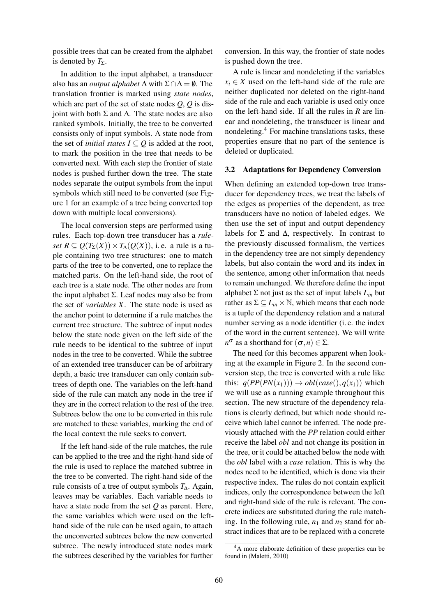possible trees that can be created from the alphabet is denoted by  $T_{\Sigma}$ .

In addition to the input alphabet, a transducer also has an *output alphabet*  $\Delta$  with  $\Sigma \cap \Delta = \emptyset$ . The translation frontier is marked using *state nodes*, which are part of the set of state nodes *Q*, *Q* is disjoint with both Σ and ∆. The state nodes are also ranked symbols. Initially, the tree to be converted consists only of input symbols. A state node from the set of *initial states*  $I \subseteq Q$  is added at the root, to mark the position in the tree that needs to be converted next. With each step the frontier of state nodes is pushed further down the tree. The state nodes separate the output symbols from the input symbols which still need to be converted (see Figure 1 for an example of a tree being converted top down with multiple local conversions).

The local conversion steps are performed using rules. Each top-down tree transducer has a *rule* $set R \subseteq Q(T_{\Sigma}(X)) \times T_{\Lambda}(Q(X))$ , i.e. a rule is a tuple containing two tree structures: one to match parts of the tree to be converted, one to replace the matched parts. On the left-hand side, the root of each tree is a state node. The other nodes are from the input alphabet Σ. Leaf nodes may also be from the set of *variables X*. The state node is used as the anchor point to determine if a rule matches the current tree structure. The subtree of input nodes below the state node given on the left side of the rule needs to be identical to the subtree of input nodes in the tree to be converted. While the subtree of an extended tree transducer can be of arbitrary depth, a basic tree transducer can only contain subtrees of depth one. The variables on the left-hand side of the rule can match any node in the tree if they are in the correct relation to the rest of the tree. Subtrees below the one to be converted in this rule are matched to these variables, marking the end of the local context the rule seeks to convert.

If the left hand-side of the rule matches, the rule can be applied to the tree and the right-hand side of the rule is used to replace the matched subtree in the tree to be converted. The right-hand side of the rule consists of a tree of output symbols *T*∆. Again, leaves may be variables. Each variable needs to have a state node from the set *Q* as parent. Here, the same variables which were used on the lefthand side of the rule can be used again, to attach the unconverted subtrees below the new converted subtree. The newly introduced state nodes mark the subtrees described by the variables for further conversion. In this way, the frontier of state nodes is pushed down the tree.

A rule is linear and nondeleting if the variables  $x_i \in X$  used on the left-hand side of the rule are neither duplicated nor deleted on the right-hand side of the rule and each variable is used only once on the left-hand side. If all the rules in *R* are linear and nondeleting, the transducer is linear and nondeleting.<sup>4</sup> For machine translations tasks, these properties ensure that no part of the sentence is deleted or duplicated.

#### 3.2 Adaptations for Dependency Conversion

When defining an extended top-down tree transducer for dependency trees, we treat the labels of the edges as properties of the dependent, as tree transducers have no notion of labeled edges. We then use the set of input and output dependency labels for  $\Sigma$  and  $\Delta$ , respectively. In contrast to the previously discussed formalism, the vertices in the dependency tree are not simply dependency labels, but also contain the word and its index in the sentence, among other information that needs to remain unchanged. We therefore define the input alphabet  $\Sigma$  not just as the set of input labels  $L_{in}$  but rather as  $\Sigma \subseteq L_{in} \times \mathbb{N}$ , which means that each node is a tuple of the dependency relation and a natural number serving as a node identifier (i. e. the index of the word in the current sentence). We will write *n*<sup>σ</sup> as a shorthand for (σ,*n*) ∈ Σ.

The need for this becomes apparent when looking at the example in Figure 2. In the second conversion step, the tree is converted with a rule like this:  $q(PP(PN(x_1))) \rightarrow obl(case(), q(x_1))$  which we will use as a running example throughout this section. The new structure of the dependency relations is clearly defined, but which node should receive which label cannot be inferred. The node previously attached with the *PP* relation could either receive the label *obl* and not change its position in the tree, or it could be attached below the node with the *obl* label with a *case* relation. This is why the nodes need to be identified, which is done via their respective index. The rules do not contain explicit indices, only the correspondence between the left and right-hand side of the rule is relevant. The concrete indices are substituted during the rule matching. In the following rule,  $n_1$  and  $n_2$  stand for abstract indices that are to be replaced with a concrete

<sup>4</sup>A more elaborate definition of these properties can be found in (Maletti, 2010)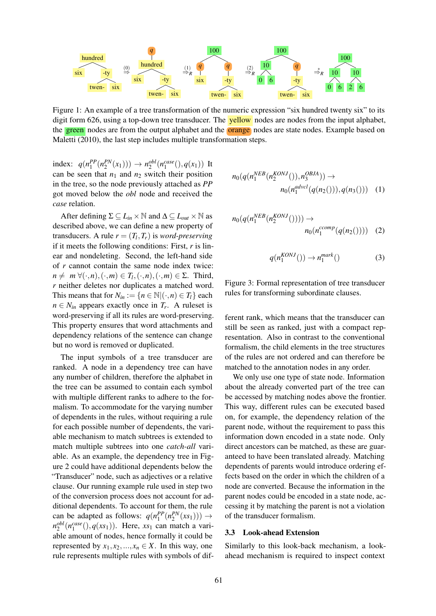

Figure 1: An example of a tree transformation of the numeric expression "six hundred twenty six" to its digit form 626, using a top-down tree transducer. The **yellow** nodes are nodes from the input alphabet, the green nodes are from the output alphabet and the **orange** nodes are state nodes. Example based on Maletti (2010), the last step includes multiple transformation steps.

index:  $q(n_1^{PP}(n_2^{PN}(x_1))) \rightarrow n_2^{obl}(n_1^{case}(), q(x_1))$  It can be seen that  $n_1$  and  $n_2$  switch their position in the tree, so the node previously attached as *PP* got moved below the *obl* node and received the *case* relation.

After defining  $\Sigma \subseteq L_{in} \times \mathbb{N}$  and  $\Delta \subseteq L_{out} \times \mathbb{N}$  as described above, we can define a new property of transducers. A rule  $r = (T_l, T_r)$  is *word-preserving* if it meets the following conditions: First, *r* is linear and nondeleting. Second, the left-hand side of *r* cannot contain the same node index twice:  $n \neq m \; \forall (\cdot, n), (\cdot, m) \in T_l, (\cdot, n), (\cdot, m) \in \Sigma$ . Third, *r* neither deletes nor duplicates a matched word. This means that for  $N_{in} := \{ n \in \mathbb{N} | (\cdot, n) \in T_l \}$  each  $n \in N_{in}$  appears exactly once in  $T_r$ . A ruleset is word-preserving if all its rules are word-preserving. This property ensures that word attachments and dependency relations of the sentence can change but no word is removed or duplicated.

The input symbols of a tree transducer are ranked. A node in a dependency tree can have any number of children, therefore the alphabet in the tree can be assumed to contain each symbol with multiple different ranks to adhere to the formalism. To accommodate for the varying number of dependents in the rules, without requiring a rule for each possible number of dependents, the variable mechanism to match subtrees is extended to match multiple subtrees into one *catch-all* variable. As an example, the dependency tree in Figure 2 could have additional dependents below the "Transducer" node, such as adjectives or a relative clause. Our running example rule used in step two of the conversion process does not account for additional dependents. To account for them, the rule can be adapted as follows:  $q(n_1^{PP}(n_2^{PN}(xs_1))) \rightarrow$  $n_2^{obl}(n_1^{case}(), q(xs_1)).$  Here, *xs*<sub>1</sub> can match a variable amount of nodes, hence formally it could be represented by  $x_1, x_2, ..., x_n \in X$ . In this way, one rule represents multiple rules with symbols of dif-

$$
n_0(q(n_1^{NEB}(n_2^{KONJ}))), n_3^{OBJA})) \rightarrow
$$
  
\n
$$
n_0(n_1^{advcl}(q(n_2)))), q(n_3))) \quad (1)
$$

$$
n_0(q(n_1^{NEB}(n_2^{KONJ})))) \to
$$
  
\n
$$
n_0(n_1^{ccomp}(q(n_2)))) (2)
$$

$$
q(n_1^{KONJ}()) \to n_1^{mark}()
$$
 (3)

Figure 3: Formal representation of tree transducer rules for transforming subordinate clauses.

ferent rank, which means that the transducer can still be seen as ranked, just with a compact representation. Also in contrast to the conventional formalism, the child elements in the tree structures of the rules are not ordered and can therefore be matched to the annotation nodes in any order.

We only use one type of state node. Information about the already converted part of the tree can be accessed by matching nodes above the frontier. This way, different rules can be executed based on, for example, the dependency relation of the parent node, without the requirement to pass this information down encoded in a state node. Only direct ancestors can be matched, as these are guaranteed to have been translated already. Matching dependents of parents would introduce ordering effects based on the order in which the children of a node are converted. Because the information in the parent nodes could be encoded in a state node, accessing it by matching the parent is not a violation of the transducer formalism.

### 3.3 Look-ahead Extension

Similarly to this look-back mechanism, a lookahead mechanism is required to inspect context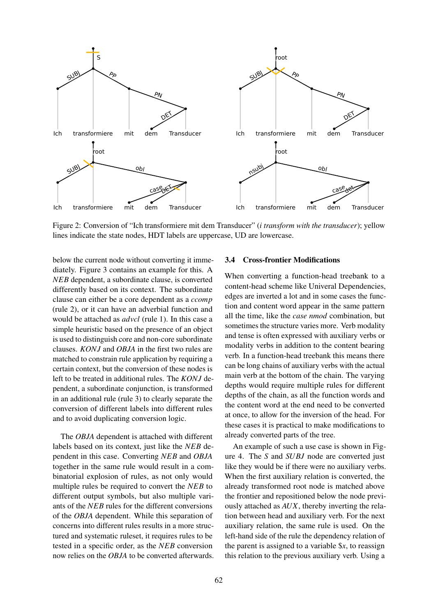

Figure 2: Conversion of "Ich transformiere mit dem Transducer" (*i transform with the transducer*); yellow lines indicate the state nodes, HDT labels are uppercase, UD are lowercase.

below the current node without converting it immediately. Figure 3 contains an example for this. A *NEB* dependent, a subordinate clause, is converted differently based on its context. The subordinate clause can either be a core dependent as a *ccomp* (rule 2), or it can have an adverbial function and would be attached as *advcl* (rule 1). In this case a simple heuristic based on the presence of an object is used to distinguish core and non-core subordinate clauses. *KONJ* and *OBJA* in the first two rules are matched to constrain rule application by requiring a certain context, but the conversion of these nodes is left to be treated in additional rules. The *KONJ* dependent, a subordinate conjunction, is transformed in an additional rule (rule 3) to clearly separate the conversion of different labels into different rules and to avoid duplicating conversion logic.

The *OBJA* dependent is attached with different labels based on its context, just like the *NEB* dependent in this case. Converting *NEB* and *OBJA* together in the same rule would result in a combinatorial explosion of rules, as not only would multiple rules be required to convert the *NEB* to different output symbols, but also multiple variants of the *NEB* rules for the different conversions of the *OBJA* dependent. While this separation of concerns into different rules results in a more structured and systematic ruleset, it requires rules to be tested in a specific order, as the *NEB* conversion now relies on the *OBJA* to be converted afterwards.

## 3.4 Cross-frontier Modifications

When converting a function-head treebank to a content-head scheme like Univeral Dependencies, edges are inverted a lot and in some cases the function and content word appear in the same pattern all the time, like the *case nmod* combination, but sometimes the structure varies more. Verb modality and tense is often expressed with auxiliary verbs or modality verbs in addition to the content bearing verb. In a function-head treebank this means there can be long chains of auxiliary verbs with the actual main verb at the bottom of the chain. The varying depths would require multiple rules for different depths of the chain, as all the function words and the content word at the end need to be converted at once, to allow for the inversion of the head. For these cases it is practical to make modifications to already converted parts of the tree.

An example of such a use case is shown in Figure 4. The *S* and *SUBJ* node are converted just like they would be if there were no auxiliary verbs. When the first auxiliary relation is converted, the already transformed root node is matched above the frontier and repositioned below the node previously attached as *AUX*, thereby inverting the relation between head and auxiliary verb. For the next auxiliary relation, the same rule is used. On the left-hand side of the rule the dependency relation of the parent is assigned to a variable \$*x*, to reassign this relation to the previous auxiliary verb. Using a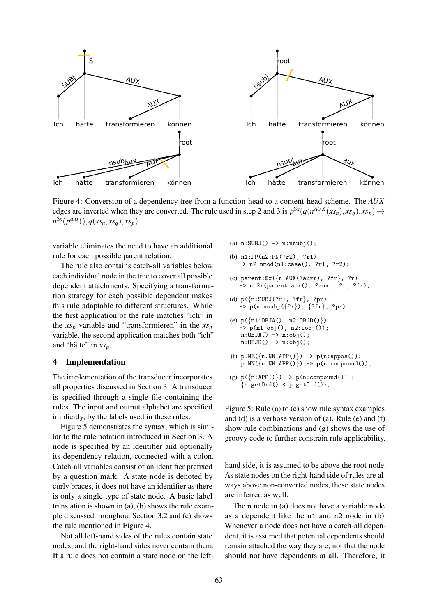

Figure 4: Conversion of a dependency tree from a function-head to a content-head scheme. The *AUX* edges are inverted when they are converted. The rule used in step 2 and 3 is  $p^{$ mathfrak{X}}(q(n^{AUX}(xs\_n), xs\_q), xs\_p)  $\rightarrow$  $n^{\$x}(p^{aux}(), q(xs_n, xs_q), xs_p)$ 

variable eliminates the need to have an additional rule for each possible parent relation.

The rule also contains catch-all variables below each individual node in the tree to cover all possible dependent attachments. Specifying a transformation strategy for each possible dependent makes this rule adaptable to different structures. While the first application of the rule matches "ich" in the  $xs_p$  variable and "transformieren" in the  $xs_n$ variable, the second application matches both "ich" and "hätte" in  $xs_p$ .

### 4 Implementation

The implementation of the transducer incorporates all properties discussed in Section 3. A transducer is specified through a single file containing the rules. The input and output alphabet are specified implicitly, by the labels used in these rules.

Figure 5 demonstrates the syntax, which is similar to the rule notation introduced in Section 3. A node is specified by an identifier and optionally its dependency relation, connected with a colon. Catch-all variables consist of an identifier prefixed by a question mark. A state node is denoted by curly braces, it does not have an identifier as there is only a single type of state node. A basic label translation is shown in (a), (b) shows the rule example discussed throughout Section 3.2 and (c) shows the rule mentioned in Figure 4.

Not all left-hand sides of the rules contain state nodes, and the right-hand sides never contain them. If a rule does not contain a state node on the left-

- (a)  $n:SUBJ() \rightarrow n:nsubj()$ ;
- (b) n1:PP(n2:PN(?r2), ?r1) -> n2:nmod(n1:case(), ?r1, ?r2);
- (c) parent:  $x({n:AUX(?auxr), ?fr}, ?r)$ -> n:\$x(parent:aux(), ?auxr, ?r, ?fr);
- (d) p({n:SUBJ(?r), ?fr}, ?pr)  $\rightarrow$  p(n:nsubj({?r}), {?fr}, ?pr)
- (e) p({n1:OBJA(), n2:OBJD()}) -> p(n1:obj(), n2:iobj()); n:OBJA() -> n:obj();  $n:OBJD() \rightarrow n:obj()$ ;
- (f)  $p.NE(\lbrace n.NN:APP() \rbrace) \rightarrow p(n:appos())$ ;  $p.NN(\overline{n.NN:APP()}) \rightarrow p(n:compound())$ ;
- (g)  $p({n:APP()}) \rightarrow p(n:compound())$ :- ${n.getOrd() < p.getOrd()};$

Figure 5: Rule (a) to (c) show rule syntax examples and (d) is a verbose version of (a). Rule (e) and (f) show rule combinations and (g) shows the use of groovy code to further constrain rule applicability.

hand side, it is assumed to be above the root node. As state nodes on the right-hand side of rules are always above non-converted nodes, these state nodes are inferred as well.

The n node in (a) does not have a variable node as a dependent like the n1 and n2 node in (b). Whenever a node does not have a catch-all dependent, it is assumed that potential dependents should remain attached the way they are, not that the node should not have dependents at all. Therefore, it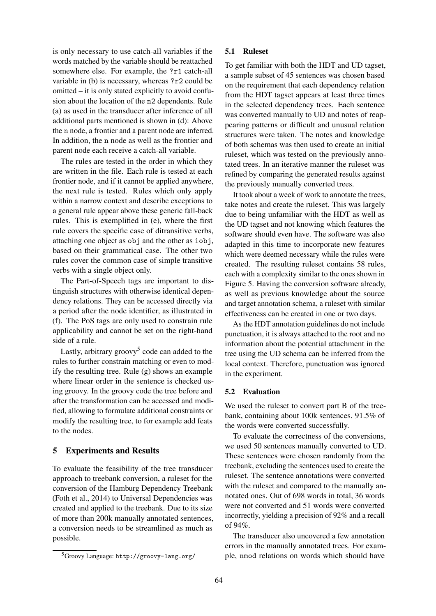is only necessary to use catch-all variables if the words matched by the variable should be reattached somewhere else. For example, the ?r1 catch-all variable in (b) is necessary, whereas ?r2 could be omitted – it is only stated explicitly to avoid confusion about the location of the n2 dependents. Rule (a) as used in the transducer after inference of all additional parts mentioned is shown in (d): Above the n node, a frontier and a parent node are inferred. In addition, the n node as well as the frontier and parent node each receive a catch-all variable.

The rules are tested in the order in which they are written in the file. Each rule is tested at each frontier node, and if it cannot be applied anywhere, the next rule is tested. Rules which only apply within a narrow context and describe exceptions to a general rule appear above these generic fall-back rules. This is exemplified in (e), where the first rule covers the specific case of ditransitive verbs, attaching one object as obj and the other as iobj, based on their grammatical case. The other two rules cover the common case of simple transitive verbs with a single object only.

The Part-of-Speech tags are important to distinguish structures with otherwise identical dependency relations. They can be accessed directly via a period after the node identifier, as illustrated in (f). The PoS tags are only used to constrain rule applicability and cannot be set on the right-hand side of a rule.

Lastly, arbitrary groovy<sup>5</sup> code can added to the rules to further constrain matching or even to modify the resulting tree. Rule (g) shows an example where linear order in the sentence is checked using groovy. In the groovy code the tree before and after the transformation can be accessed and modified, allowing to formulate additional constraints or modify the resulting tree, to for example add feats to the nodes.

## 5 Experiments and Results

To evaluate the feasibility of the tree transducer approach to treebank conversion, a ruleset for the conversion of the Hamburg Dependency Treebank (Foth et al., 2014) to Universal Dependencies was created and applied to the treebank. Due to its size of more than 200k manually annotated sentences, a conversion needs to be streamlined as much as possible.

#### 5.1 Ruleset

To get familiar with both the HDT and UD tagset, a sample subset of 45 sentences was chosen based on the requirement that each dependency relation from the HDT tagset appears at least three times in the selected dependency trees. Each sentence was converted manually to UD and notes of reappearing patterns or difficult and unusual relation structures were taken. The notes and knowledge of both schemas was then used to create an initial ruleset, which was tested on the previously annotated trees. In an iterative manner the ruleset was refined by comparing the generated results against the previously manually converted trees.

It took about a week of work to annotate the trees, take notes and create the ruleset. This was largely due to being unfamiliar with the HDT as well as the UD tagset and not knowing which features the software should even have. The software was also adapted in this time to incorporate new features which were deemed necessary while the rules were created. The resulting ruleset contains 58 rules, each with a complexity similar to the ones shown in Figure 5. Having the conversion software already, as well as previous knowledge about the source and target annotation schema, a ruleset with similar effectiveness can be created in one or two days.

As the HDT annotation guidelines do not include punctuation, it is always attached to the root and no information about the potential attachment in the tree using the UD schema can be inferred from the local context. Therefore, punctuation was ignored in the experiment.

#### 5.2 Evaluation

We used the ruleset to convert part B of the treebank, containing about 100k sentences. 91.5% of the words were converted successfully.

To evaluate the correctness of the conversions, we used 50 sentences manually converted to UD. These sentences were chosen randomly from the treebank, excluding the sentences used to create the ruleset. The sentence annotations were converted with the ruleset and compared to the manually annotated ones. Out of 698 words in total, 36 words were not converted and 51 words were converted incorrectly, yielding a precision of 92% and a recall of  $94\%$ .

The transducer also uncovered a few annotation errors in the manually annotated trees. For example, nmod relations on words which should have

<sup>5</sup>Groovy Language: http://groovy-lang.org/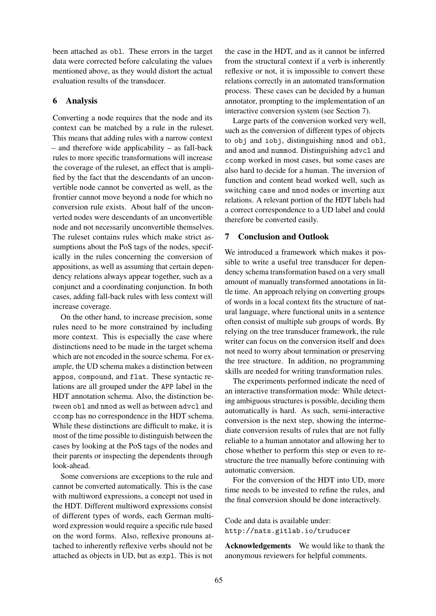been attached as obl. These errors in the target data were corrected before calculating the values mentioned above, as they would distort the actual evaluation results of the transducer.

### 6 Analysis

Converting a node requires that the node and its context can be matched by a rule in the ruleset. This means that adding rules with a narrow context – and therefore wide applicability – as fall-back rules to more specific transformations will increase the coverage of the ruleset, an effect that is amplified by the fact that the descendants of an unconvertible node cannot be converted as well, as the frontier cannot move beyond a node for which no conversion rule exists. About half of the unconverted nodes were descendants of an unconvertible node and not necessarily unconvertible themselves. The ruleset contains rules which make strict assumptions about the PoS tags of the nodes, specifically in the rules concerning the conversion of appositions, as well as assuming that certain dependency relations always appear together, such as a conjunct and a coordinating conjunction. In both cases, adding fall-back rules with less context will increase coverage.

On the other hand, to increase precision, some rules need to be more constrained by including more context. This is especially the case where distinctions need to be made in the target schema which are not encoded in the source schema. For example, the UD schema makes a distinction between appos, compound, and flat. These syntactic relations are all grouped under the APP label in the HDT annotation schema. Also, the distinction between obl and nmod as well as between advcl and ccomp has no correspondence in the HDT schema. While these distinctions are difficult to make, it is most of the time possible to distinguish between the cases by looking at the PoS tags of the nodes and their parents or inspecting the dependents through look-ahead.

Some conversions are exceptions to the rule and cannot be converted automatically. This is the case with multiword expressions, a concept not used in the HDT. Different multiword expressions consist of different types of words, each German multiword expression would require a specific rule based on the word forms. Also, reflexive pronouns attached to inherently reflexive verbs should not be attached as objects in UD, but as expl. This is not the case in the HDT, and as it cannot be inferred from the structural context if a verb is inherently reflexive or not, it is impossible to convert these relations correctly in an automated transformation process. These cases can be decided by a human annotator, prompting to the implementation of an interactive conversion system (see Section 7).

Large parts of the conversion worked very well, such as the conversion of different types of objects to obj and iobj, distinguishing nmod and obl, and amod and nummod. Distinguishing advcl and ccomp worked in most cases, but some cases are also hard to decide for a human. The inversion of function and content head worked well, such as switching case and nmod nodes or inverting aux relations. A relevant portion of the HDT labels had a correct correspondence to a UD label and could therefore be converted easily.

## 7 Conclusion and Outlook

We introduced a framework which makes it possible to write a useful tree transducer for dependency schema transformation based on a very small amount of manually transformed annotations in little time. An approach relying on converting groups of words in a local context fits the structure of natural language, where functional units in a sentence often consist of multiple sub groups of words. By relying on the tree transducer framework, the rule writer can focus on the conversion itself and does not need to worry about termination or preserving the tree structure. In addition, no programming skills are needed for writing transformation rules.

The experiments performed indicate the need of an interactive transformation mode: While detecting ambiguous structures is possible, deciding them automatically is hard. As such, semi-interactive conversion is the next step, showing the intermediate conversion results of rules that are not fully reliable to a human annotator and allowing her to chose whether to perform this step or even to restructure the tree manually before continuing with automatic conversion.

For the conversion of the HDT into UD, more time needs to be invested to refine the rules, and the final conversion should be done interactively.

Code and data is available under: http://nats.gitlab.io/truducer

Acknowledgements We would like to thank the anonymous reviewers for helpful comments.